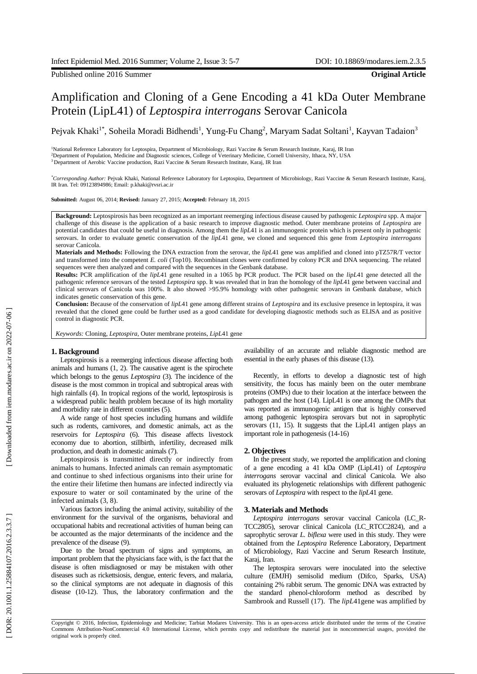Published online 2016 Summer **Original Article**

# Amplification and Cloning of a Gene Encoding a 41 kDa Outer Membrane Protein (LipL41) of *Leptospira interrogans* Serovar Canicola

Pejvak Khaki<sup>1\*</sup>, Soheila Moradi Bidhendi<sup>1</sup>, Yung-Fu Chang<sup>2</sup>, Maryam Sadat Soltani<sup>1</sup>, Kayvan Tadaion<sup>3</sup>

<sup>1</sup>National Reference Laboratory for Leptospira, Department of Microbiology, Razi Vaccine & Serum Research Institute, Karaj, IR Iran <sup>2</sup>Department of Population, Medicine and Diagnostic sciences, College of Veterinary Medicine, Cornell University, Ithaca, NY, USA <sup>3</sup> Department of Aerobic Vaccine production, Razi Vaccine & Serum Research Institute, Karaj, IR Iran

*\*Corresponding Author:* Pejvak Khaki, National Reference Laboratory for Leptospira, Department of Microbiology, Razi Vaccine & Serum Research Institute, Karaj, IR Iran. Tel: 09123894986; Email: p.khaki@rvsri.ac.ir

**Submitted:** August 06, 2014; **Revised:** January 27, 2015; **Accepted:** February 18, 2015

**Background :** Leptospirosis has been recognized as an important reemerging infectious disease caused by pathogenic *Leptospira* spp. A major challenge of this disease is the application of a basic research to improve diagnostic method. Outer membrane proteins of *Leptospira* are potential candidates that could be useful in diagnosis. Among them the *lipL4*1 is an immunogenic protein which is present only in pathogenic serovars. In order to evaluate genetic conservation of the *lipL*41 gene, we cloned and sequenced this gene from *Leptospira interrogans* serovar Canicola.

**Materials and Methods:** Following the DNA extraction from the serovar, the *lipL*41 gene was amplified and cloned into pTZ57R/T vector and transformed into the competent *E. coli* (Top10). Recombinant clones were confirmed by colony PCR and DNA sequencing. The related sequences were then analy zed and compared with the sequences in the Genbank database.

**Result s :** PCR amplification of the *lipL*41 gene resulted in a 1065 bp PCR product. The PCR based on the *lipL*41 gene detected all the pathogenic reference serovars of the tested *Leptospira* spp . It was revealed that in Iran the homology of the *lipL*41 gene between vaccinal and clinical serovar s of Canicola was 100%. It also showed >95.9% homology with other pathogenic serovars in Genbank database , which indicates genetic conservation of this gene.

Conclusion: Because of the conservation of *lipL*41 gene among different strains of *Leptospira* and its exclusive presence in leptospira, it was revealed that the cloned gene could be further used as a good candidate for developing diagnostic methods such as ELISA and as positive control in diagnostic PCR.

*Keywords:* Cloning, *Leptospira*, Outer membrane proteins, *LipL*41 gene

# **1. Background**

Leptospirosis is a reemerging infectious disease affecting both animals and humans (1, 2). The causative agent is the spirochete which belongs to the genus *Leptospira* (3)*.* The incidence of the disease is the most common in tropical and subtropical areas with high rainfalls (4). In tropical regions of the world, leptospirosis is a widespread public health problem because of its high mortality and morbidity rate in different countries (5). A wide range of host species including humans and wildlife

such as rodents, carnivores , and domestic animals, act as the reservoirs for *Leptospira* (6). This disease affects livestock economy due to abortion, stillbirth, infertility, decreased milk production , and death in domestic animals (7) .

Leptospirosis is transmitted directly or indirectly from animals to humans. Infected animals can remain asymptomatic and continue to shed infectious organisms into their urine for the entire their lifetime then humans are infected indirectly via exposure to water or soil contaminated by the urine of the infected animals (3, 8) .

Various factors including the animal activity, suitability of the environment for the survival of the organisms, behavioral and occupational habits and recreational activities of human being can be accounted as the major determinant s of the incidence and the prevalence of the disease (9) .

Due to the broad spectrum of signs and symptoms, an important problem that the physician s face with , is the fact that the disease is often misdiagnosed or may be mistaken with other diseases such as rickettsiosis, dengue, ent eric fevers , and malaria , so the clinical symptoms are not adequate in diagnosis of this disease (10 -12). Thus , the laboratory confirmation and the availability of an accurate and reliable diagnostic method are essential in the early phase s of this disease (13) .

Recently, in efforts to develop a diagnostic test of high sensitivity, the focus has mainly been on the outer membrane proteins (OMPs) due to their location at the interface between the pathogen and the host (14). LipL41 is one among the OMPs that was reported as immunogenic antigen that is highly conserved among pathogenic leptospira serovars but not in saprophytic serovars (11, 15). It suggests that the LipL41 antigen plays an important role in pathogenesis (14 -16)

# **2. Objectives**

In the present study, we reported the amplification and cloning of a gene encoding a 41 kDa OMP (LipL41) of *Leptospira interrogans* serovar vaccinal and clinical Canicola . We also evaluate d its phylogenetic relationships with different pathogenic serovars of *Leptospira* with respect to the *lipL*41 gene.

# **3. Materials and Methods**

*Leptospira interrogans* serovar vaccinal Canicola (LC\_R - TCC2805), serovar clinical Canicola (LC\_RTCC2824) , and a saprophytic serovar *L. biflexa* were used in this study. They were obtained from the *Leptospira* Reference Laboratory, Department of Microbiology, Razi Vaccine and Serum Research Institute, Karaj, Iran.

The leptospira serovars were inoculated into the selective culture (EMJH) semisolid medium (Difco, Sparks, USA) containing 2% rabbit serum. The genomic DNA was extracted by the standard phenol -chloroform method as described by Sambrook and Russell (17) . The *lipL*41gene was amplified by

Copyright © 2016, Infection, Epidemiology and Medicine; Tarbiat Modares University. This is an open -access article distributed under the terms of the Creative Commons Attribution -NonCommercial 4.0 International License, which permits copy and redistribute the material just in noncommercial usages, provided the original work is properly cited.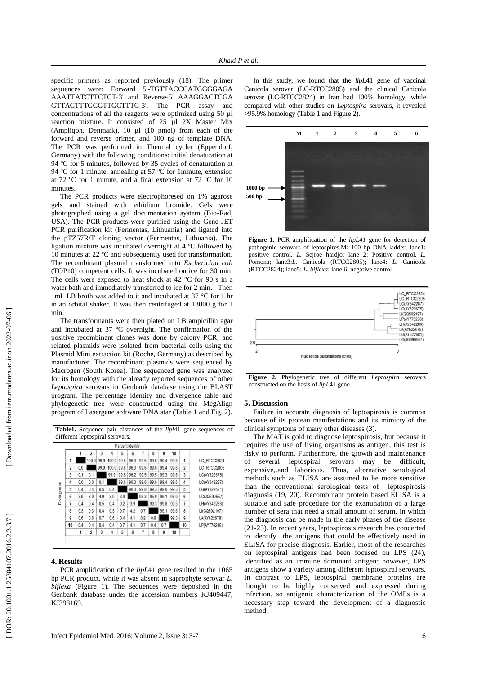specific primers as reported previously (18). The primer sequences were: Forward 5' -TGTTACCCATGGGGAGA AAATTATCTTCTCT -3' and Reverse -5' AAAGGACTCGA GTTACTTTGCGTTGCTTTC -3'. The PCR assay and concentrations of all the reagents were optimized using 50 µl reaction mixture. It consisted of 25 µl 2X Master Mix (Ampliqon, Denmark), 10 µl (10 pmol) from each of the forward and reverse primer , and 100 ng of template DNA. The PCR was performed in Thermal cycler (Eppendorf, Germany) with the following conditions: initial denaturation at 94 ºC for 5 minutes, followed by 35 cycles of denaturation at 94 ºC for 1 minute, annealing at 57 ºC for 1minute, extension at 72 ºC for 1 minute , and a final extension at 72 ºC for 10 minutes.

The PCR products were electrophoresed on 1% agarose gels and stained with ethidium bromide. Gels were photographed using a gel documentation system (Bio -Rad, USA). The PCR products were purified using the Gene JET PCR purification kit (Fermentas, Lithuania) and ligated into the pTZ57R/T cloning vector (Fermentas, Lithuania). The ligation mixture was incubated overnight at 4 ºC followed by 10 minutes at 22 ºC and subsequently used for transformation. The recombinant plasmid transformed into *Escherichia coli*  (TOP10) competent cells . It was incubated on ice for 30 min. The cells were exposed to heat shock at 42 °C for 90 s in a water bath and immediately transferred to ice for 2 min . Then 1mL LB broth was added to it and incubated at 37 °C for 1 h r in an orbital shaker. It was then centrifuged at 13000 g for 1 min

.The transformants were then plated on LB ampicillin agar and incubated at 37 ºC overnight. The confirmation of the positive recombinant clones was done by colony PCR , and related plasmids were isolated from bacterial cells using the Plasmid Mini extraction kit (Roche, Germany) as described by manufacturer . The recombinant plasmids were sequenced by Macrogen (South Korea). The sequenced gene was analyzed for its homology with the already reported sequences of other *Leptospira* serovars in Genbank database using the BLAST program. The percentage identity and divergence table and phylogenetic tree were constructed using the MegAlign program of Lasergene software DNA star (Table 1 and Fig. 2) .

|            |                |     |                          |      |            |      | Percent Identity |      |      |      |      |                         |              |
|------------|----------------|-----|--------------------------|------|------------|------|------------------|------|------|------|------|-------------------------|--------------|
|            |                | 1   | $\overline{\phantom{a}}$ | 3    | 4          | 5    | 6                | 7    | 8    | 9    | 10   |                         |              |
|            |                |     | 100.0                    | 99.9 | 100.0 99.6 |      | 96.3             | 99.6 | 99.6 | 99.4 | 99.6 | 1                       | LC RTCC2824  |
|            | $\overline{2}$ | 0.0 |                          | 99.9 | 100.0 99.6 |      | 96.3             | 99.6 | 99.6 | 99.4 | 99.6 | $\overline{\mathbf{c}}$ | LC RTCC2805  |
|            | 3              | 0.1 | 0.1                      |      | 99.9       | 99.5 | 96.2             | 99.5 | 99.5 | 99.3 | 99.6 | 3                       | LC(AY622675) |
|            | 4              | 0.0 | 0.0                      | 0.1  |            | 99.6 | 96.3             | 99.6 | 99.6 | 99.4 | 99.6 | $\overline{4}$          | LC(AY642287) |
| Divergence | 5              | 0.4 | 0.4                      | 0.5  | 0.4        |      | 96.3             | 99.8 | 99.3 | 99.6 | 99.3 | 5                       | LG(AY622681) |
|            | $6\phantom{1}$ | 3.9 | 3.9                      | 4.0  | 3.9        | 3.9  |                  | 96.3 | 95.9 | 96.1 | 96.0 | $6\overline{6}$         | LG(JQ690557) |
|            | 7              | 0.4 | 0.4                      | 0.5  | 0.4        | 0.2  | 3.9              |      | 99.3 | 99.8 | 99.3 | 7                       | LH(AY642286) |
|            | 8              | 0.3 | 0.3                      | 0.4  | 0.3        | 0.7  | 4.2              | 0.7  |      | 99.1 | 99.6 | 8                       | LI(GQ502197) |
|            | $\overline{9}$ | 0.6 | 0.6                      | 0.7  | 0.6        | 0.4  | 4.1              | 0.2  | 0.8  |      | 99.3 | $\overline{9}$          | LA(AY622678) |
|            | 10             | 0.4 | 0.4                      | 0.4  | 0.4        | 0.7  | 4.1              | 0.7  | 0.4  | 0.7  |      | 10                      | LP(AY776298) |
|            |                |     | $\overline{\mathbf{z}}$  | 3    | 4          | 5    | 6                |      | 8    | 9    | 10   |                         |              |

**Table1.** Sequence pair distances of the *lipl*41 gene sequences of

#### **4. Results**

 $\overline{1}$ 

PCR amplification of the *lipL*41 gene resulted in the 1065 bp PCR product , while it was absent in saprophyte serovar *L. biflexa* (Figure 1). The sequences were deposited in the Genbank database under the accession numbers KJ409447, KJ398169.

In this study, we found that the *lipL*41 gene of vaccinal Canicola serovar (LC -RTCC2805) and the clinical Canicola serovar (LC -RTCC2824) in Iran had 100% homology ; while compare d with other studies on *Leptospira* serovars, it revealed >95.9% homology (Table 1 and Figure 2).



**Figure 1.** PCR amplification of the *lipL41* gene for detection of pathogenic serovars of leptospires.M: 100 bp DNA ladder; lane1: positive control, *L.* Sejroe hardjo; lane 2: Positive control, *L.* Pomona; lane3:*L.* Canicola (RTCC2805); lane4: *L.* Canicola (RTCC2824); lane5: *L. biflexa*; lane 6: negative control



**Figure 2.** Phylogenetic tree of different *Leptospira* serovars constructed on the basis of *lipL*41 gene.

#### **5. Discussion**

Failure in accurate diagnosis of leptospirosis is common because of its protean manifestations and its mimic ry of the clinical symptoms of many other diseases (3).

The MAT is gold to diagnose leptospirosis , but because it requires the use of living organisms as antigen , this test is risky to perform. Furthermore, the growth and maintenance of several leptospiral serovars may be difficult, expensive, .and laborious. Thus, alternative serological methods such as ELISA are assumed to be more sensitive than the conventional serological tests of leptospirosis diagnosis (19, 20). Recombinant protein based ELISA is a suitable and safe procedure for the examination of a large number of sera that need a small amount of serum, in which the diagnosis can be made in the early phase s of the disease (21 -23) . In recent years, leptospirosis research has concerted to identify the antigens that could be effectively used in ELISA for precise diagnosis. Earlier, most of the researches on leptospira l antigens had been focused on LPS (24) , identified as an immune dominant antigen; however, LPS antigens show a variety among different leptospira l serovars. In contrast to LPS, leptospiral membrane proteins are thought to be highly conserved and expressed during infection , so antigenic characterization of the OMPs is a necessary step toward the development of a diagnostic method.